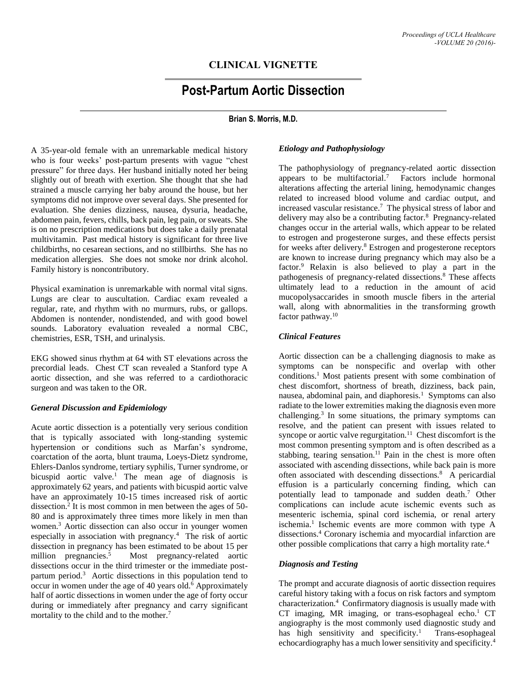# **CLINICAL VIGNETTE**

# **Post-Partum Aortic Dissection**

# **Brian S. Morris, M.D.**

A 35-year-old female with an unremarkable medical history who is four weeks' post-partum presents with vague "chest pressure" for three days. Her husband initially noted her being slightly out of breath with exertion. She thought that she had strained a muscle carrying her baby around the house, but her symptoms did not improve over several days. She presented for evaluation. She denies dizziness, nausea, dysuria, headache, abdomen pain, fevers, chills, back pain, leg pain, or sweats. She is on no prescription medications but does take a daily prenatal multivitamin. Past medical history is significant for three live childbirths, no cesarean sections, and no stillbirths. She has no medication allergies. She does not smoke nor drink alcohol. Family history is noncontributory.

Physical examination is unremarkable with normal vital signs. Lungs are clear to auscultation. Cardiac exam revealed a regular, rate, and rhythm with no murmurs, rubs, or gallops. Abdomen is nontender, nondistended, and with good bowel sounds. Laboratory evaluation revealed a normal CBC, chemistries, ESR, TSH, and urinalysis.

EKG showed sinus rhythm at 64 with ST elevations across the precordial leads. Chest CT scan revealed a Stanford type A aortic dissection, and she was referred to a cardiothoracic surgeon and was taken to the OR.

#### *General Discussion and Epidemiology*

Acute aortic dissection is a potentially very serious condition that is typically associated with long-standing systemic hypertension or conditions such as Marfan's syndrome, coarctation of the aorta, blunt trauma, Loeys-Dietz syndrome, Ehlers-Danlos syndrome, tertiary syphilis, Turner syndrome, or bicuspid aortic valve.<sup>1</sup> The mean age of diagnosis is approximately 62 years, and patients with bicuspid aortic valve have an approximately 10-15 times increased risk of aortic dissection.<sup>2</sup> It is most common in men between the ages of 50- 80 and is approximately three times more likely in men than women.<sup>3</sup> Aortic dissection can also occur in younger women especially in association with pregnancy.<sup>4</sup> The risk of aortic dissection in pregnancy has been estimated to be about 15 per million pregnancies.<sup>5</sup> Most pregnancy-related aortic dissections occur in the third trimester or the immediate postpartum period.<sup>3</sup> Aortic dissections in this population tend to occur in women under the age of 40 years old.<sup>6</sup> Approximately half of aortic dissections in women under the age of forty occur during or immediately after pregnancy and carry significant mortality to the child and to the mother.<sup>7</sup>

# *Etiology and Pathophysiology*

The pathophysiology of pregnancy-related aortic dissection appears to be multifactorial.<sup>7</sup> Factors include hormonal alterations affecting the arterial lining, hemodynamic changes related to increased blood volume and cardiac output, and increased vascular resistance.<sup>7</sup> The physical stress of labor and delivery may also be a contributing factor.<sup>8</sup> Pregnancy-related changes occur in the arterial walls, which appear to be related to estrogen and progesterone surges, and these effects persist for weeks after delivery.<sup>8</sup> Estrogen and progesterone receptors are known to increase during pregnancy which may also be a factor.<sup>9</sup> Relaxin is also believed to play a part in the pathogenesis of pregnancy-related dissections.<sup>8</sup> These affects ultimately lead to a reduction in the amount of acid mucopolysaccarides in smooth muscle fibers in the arterial wall, along with abnormalities in the transforming growth factor pathway.<sup>10</sup>

#### *Clinical Features*

Aortic dissection can be a challenging diagnosis to make as symptoms can be nonspecific and overlap with other conditions. <sup>1</sup> Most patients present with some combination of chest discomfort, shortness of breath, dizziness, back pain, nausea, abdominal pain, and diaphoresis.<sup>1</sup> Symptoms can also radiate to the lower extremities making the diagnosis even more challenging.<sup>3</sup> In some situations, the primary symptoms can resolve, and the patient can present with issues related to syncope or aortic valve regurgitation.<sup>11</sup> Chest discomfort is the most common presenting symptom and is often described as a stabbing, tearing sensation.<sup>11</sup> Pain in the chest is more often associated with ascending dissections, while back pain is more often associated with descending dissections.<sup>8</sup> A pericardial effusion is a particularly concerning finding, which can potentially lead to tamponade and sudden death.<sup>7</sup> Other complications can include acute ischemic events such as mesenteric ischemia, spinal cord ischemia, or renal artery ischemia.<sup>1</sup> Ischemic events are more common with type A dissections.<sup>4</sup> Coronary ischemia and myocardial infarction are other possible complications that carry a high mortality rate.<sup>4</sup>

# *Diagnosis and Testing*

The prompt and accurate diagnosis of aortic dissection requires careful history taking with a focus on risk factors and symptom characterization.<sup>4</sup> Confirmatory diagnosis is usually made with CT imaging, MR imaging, or trans-esophageal echo.<sup>1</sup> CT angiography is the most commonly used diagnostic study and has high sensitivity and specificity.<sup>1</sup> Trans-esophageal echocardiography has a much lower sensitivity and specificity.4